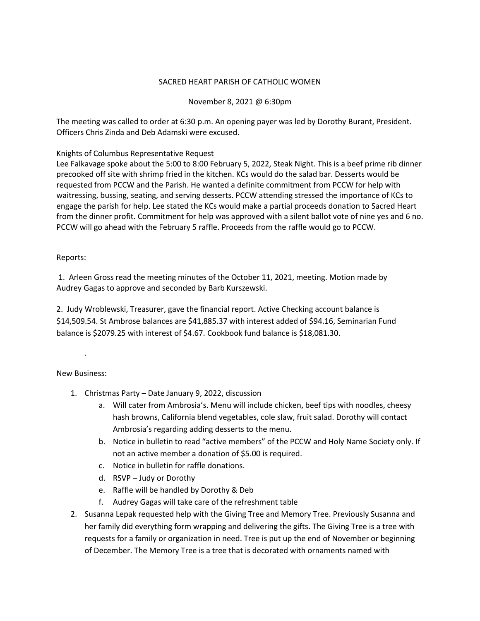# SACRED HEART PARISH OF CATHOLIC WOMEN

### November 8, 2021 @ 6:30pm

The meeting was called to order at 6:30 p.m. An opening payer was led by Dorothy Burant, President. Officers Chris Zinda and Deb Adamski were excused.

### Knights of Columbus Representative Request

Lee Falkavage spoke about the 5:00 to 8:00 February 5, 2022, Steak Night. This is a beef prime rib dinner precooked off site with shrimp fried in the kitchen. KCs would do the salad bar. Desserts would be requested from PCCW and the Parish. He wanted a definite commitment from PCCW for help with waitressing, bussing, seating, and serving desserts. PCCW attending stressed the importance of KCs to engage the parish for help. Lee stated the KCs would make a partial proceeds donation to Sacred Heart from the dinner profit. Commitment for help was approved with a silent ballot vote of nine yes and 6 no. PCCW will go ahead with the February 5 raffle. Proceeds from the raffle would go to PCCW.

### Reports:

1. Arleen Gross read the meeting minutes of the October 11, 2021, meeting. Motion made by Audrey Gagas to approve and seconded by Barb Kurszewski.

2. Judy Wroblewski, Treasurer, gave the financial report. Active Checking account balance is \$14,509.54. St Ambrose balances are \$41,885.37 with interest added of \$94.16, Seminarian Fund balance is \$2079.25 with interest of \$4.67. Cookbook fund balance is \$18,081.30.

# New Business:

.

- 1. Christmas Party Date January 9, 2022, discussion
	- a. Will cater from Ambrosia's. Menu will include chicken, beef tips with noodles, cheesy hash browns, California blend vegetables, cole slaw, fruit salad. Dorothy will contact Ambrosia's regarding adding desserts to the menu.
	- b. Notice in bulletin to read "active members" of the PCCW and Holy Name Society only. If not an active member a donation of \$5.00 is required.
	- c. Notice in bulletin for raffle donations.
	- d. RSVP Judy or Dorothy
	- e. Raffle will be handled by Dorothy & Deb
	- f. Audrey Gagas will take care of the refreshment table
- 2. Susanna Lepak requested help with the Giving Tree and Memory Tree. Previously Susanna and her family did everything form wrapping and delivering the gifts. The Giving Tree is a tree with requests for a family or organization in need. Tree is put up the end of November or beginning of December. The Memory Tree is a tree that is decorated with ornaments named with